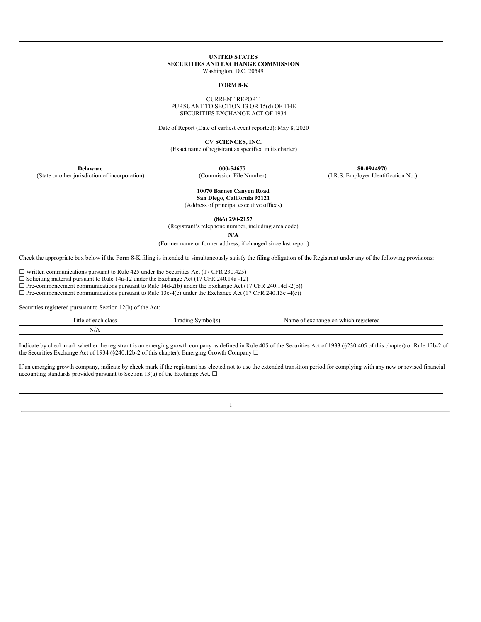#### **UNITED STATES SECURITIES AND EXCHANGE COMMISSION** Washington, D.C. 20549

#### **FORM 8-K**

#### CURRENT REPORT PURSUANT TO SECTION 13 OR 15(d) OF THE SECURITIES EXCHANGE ACT OF 1934

Date of Report (Date of earliest event reported): May 8, 2020

**CV SCIENCES, INC.**

(Exact name of registrant as specified in its charter)

**000-54677**

**Delaware**

(State or other jurisdiction of incorporation) (Commission File Number)

**80-0944970** (I.R.S. Employer Identification No.)

**10070 Barnes Canyon Road San Diego, California 92121**

(Address of principal executive offices)

**(866) 290-2157**

(Registrant's telephone number, including area code)

**N/A**

(Former name or former address, if changed since last report)

Check the appropriate box below if the Form 8-K filing is intended to simultaneously satisfy the filing obligation of the Registrant under any of the following provisions:

 $\Box$  Written communications pursuant to Rule 425 under the Securities Act (17 CFR 230.425)

☐ Soliciting material pursuant to Rule 14a-12 under the Exchange Act (17 CFR 240.14a -12)

 $\Box$  Pre-commencement communications pursuant to Rule 14d-2(b) under the Exchange Act (17 CFR 240.14d -2(b))

 $\Box$  Pre-commencement communications pursuant to Rule 13e-4(c) under the Exchange Act (17 CFR 240.13e -4(c))

Securities registered pursuant to Section 12(b) of the Act:

| . itle<br>each<br>class                                 | $\cdot$<br>. .<br>anbolts.<br>rading. | ≅registere∩<br>– xchano د<br>which<br><sub>on</sub><br>$\mathbf{u}$<br>маню |
|---------------------------------------------------------|---------------------------------------|-----------------------------------------------------------------------------|
| ****<br>the contract of the contract of the contract of |                                       |                                                                             |

Indicate by check mark whether the registrant is an emerging growth company as defined in Rule 405 of the Securities Act of 1933 (§230.405 of this chapter) or Rule 12b-2 of the Securities Exchange Act of 1934 (§240.12b-2 of this chapter). Emerging Growth Company  $\Box$ 

If an emerging growth company, indicate by check mark if the registrant has elected not to use the extended transition period for complying with any new or revised financial accounting standards provided pursuant to Section 13(a) of the Exchange Act.  $\square$ 

1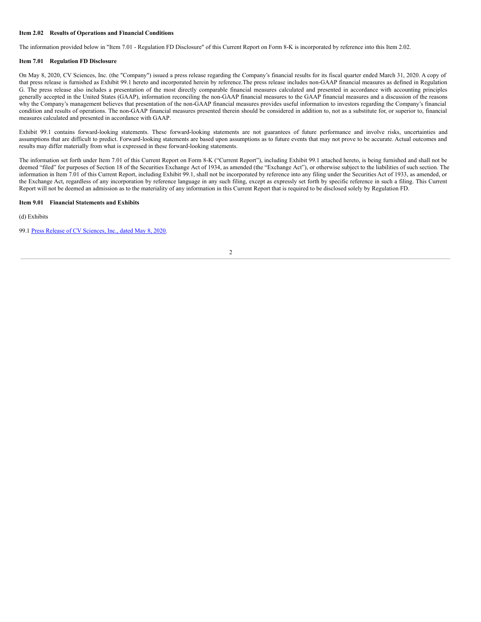#### **Item 2.02 Results of Operations and Financial Conditions**

The information provided below in "Item 7.01 - Regulation FD Disclosure" of this Current Report on Form 8-K is incorporated by reference into this Item 2.02.

#### **Item 7.01 Regulation FD Disclosure**

On May 8, 2020, CV Sciences, Inc. (the "Company") issued a press release regarding the Company's financial results for its fiscal quarter ended March 31, 2020. A copy of that press release is furnished as Exhibit 99.1 hereto and incorporated herein by reference.The press release includes non-GAAP financial measures as defined in Regulation G. The press release also includes a presentation of the most directly comparable financial measures calculated and presented in accordance with accounting principles generally accepted in the United States (GAAP), information reconciling the non-GAAP financial measures to the GAAP financial measures and a discussion of the reasons why the Company's management believes that presentation of the non-GAAP financial measures provides useful information to investors regarding the Company's financial condition and results of operations. The non-GAAP financial measures presented therein should be considered in addition to, not as a substitute for, or superior to, financial measures calculated and presented in accordance with GAAP.

Exhibit 99.1 contains forward-looking statements. These forward-looking statements are not guarantees of future performance and involve risks, uncertainties and assumptions that are difficult to predict. Forward-looking statements are based upon assumptions as to future events that may not prove to be accurate. Actual outcomes and results may differ materially from what is expressed in these forward-looking statements.

The information set forth under Item 7.01 of this Current Report on Form 8-K ("Current Report"), including Exhibit 99.1 attached hereto, is being furnished and shall not be deemed "filed" for purposes of Section 18 of the Securities Exchange Act of 1934, as amended (the "Exchange Act"), or otherwise subject to the liabilities of such section. The information in Item 7.01 of this Current Report, including Exhibit 99.1, shall not be incorporated by reference into any filing under the Securities Act of 1933, as amended, or the Exchange Act, regardless of any incorporation by reference language in any such filing, except as expressly set forth by specific reference in such a filing. This Current Report will not be deemed an admission as to the materiality of any information in this Current Report that is required to be disclosed solely by Regulation FD.

#### **Item 9.01 Financial Statements and Exhibits**

(d) Exhibits

99.1 Press Release of CV [Sciences,](#page-7-0) Inc., dated May 8, 2020.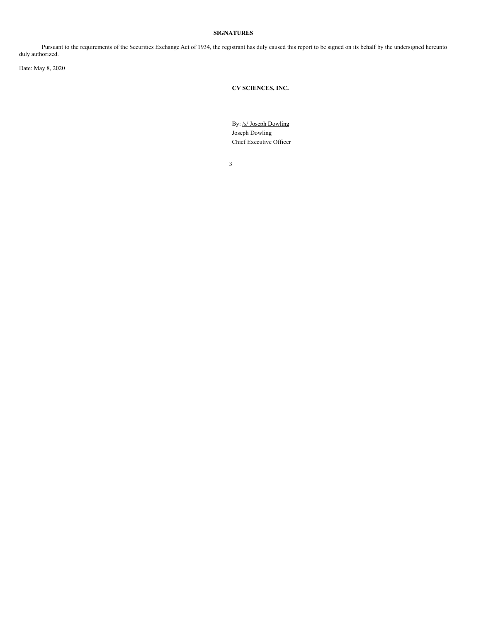### **SIGNATURES**

Pursuant to the requirements of the Securities Exchange Act of 1934, the registrant has duly caused this report to be signed on its behalf by the undersigned hereunto duly authorized.

Date: May 8, 2020

**CV SCIENCES, INC.**

By: /s/ Joseph Dowling Joseph Dowling Chief Executive Officer

3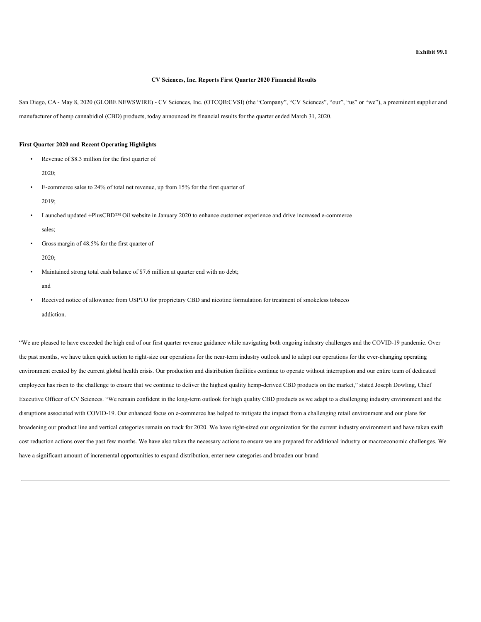#### **CV Sciences, Inc. Reports First Quarter 2020 Financial Results**

San Diego, CA - May 8, 2020 (GLOBE NEWSWIRE) - CV Sciences, Inc. (OTCQB:CVSI) (the "Company", "CV Sciences", "our", "us" or "we"), a preeminent supplier and manufacturer of hemp cannabidiol (CBD) products, today announced its financial results for the quarter ended March 31, 2020.

#### **First Quarter 2020 and Recent Operating Highlights**

- Revenue of \$8.3 million for the first quarter of 2020;
- E-commerce sales to 24% of total net revenue, up from 15% for the first quarter of 2019;
- Launched updated +PlusCBD™ Oil website in January 2020 to enhance customer experience and drive increased e-commerce sales;
- Gross margin of 48.5% for the first quarter of 2020;
- Maintained strong total cash balance of \$7.6 million at quarter end with no debt;

and

• Received notice of allowance from USPTO for proprietary CBD and nicotine formulation for treatment of smokeless tobacco addiction.

"We are pleased to have exceeded the high end of our first quarter revenue guidance while navigating both ongoing industry challenges and the COVID-19 pandemic. Over the past months, we have taken quick action to right-size our operations for the near-term industry outlook and to adapt our operations for the ever-changing operating environment created by the current global health crisis. Our production and distribution facilities continue to operate without interruption and our entire team of dedicated employees has risen to the challenge to ensure that we continue to deliver the highest quality hemp-derived CBD products on the market," stated Joseph Dowling, Chief Executive Officer of CV Sciences. "We remain confident in the long-term outlook for high quality CBD products as we adapt to a challenging industry environment and the disruptions associated with COVID-19. Our enhanced focus on e-commerce has helped to mitigate the impact from a challenging retail environment and our plans for broadening our product line and vertical categories remain on track for 2020. We have right-sized our organization for the current industry environment and have taken swift cost reduction actions over the past few months. We have also taken the necessary actions to ensure we are prepared for additional industry or macroeconomic challenges. We have a significant amount of incremental opportunities to expand distribution, enter new categories and broaden our brand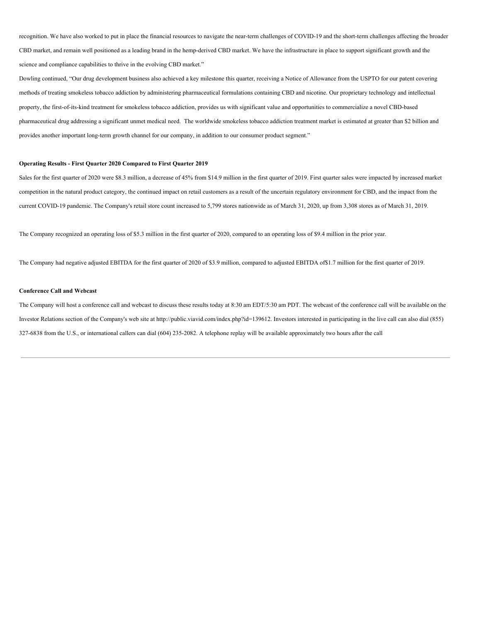recognition. We have also worked to put in place the financial resources to navigate the near-term challenges of COVID-19 and the short-term challenges affecting the broader CBD market, and remain well positioned as a leading brand in the hemp-derived CBD market. We have the infrastructure in place to support significant growth and the science and compliance capabilities to thrive in the evolving CBD market."

Dowling continued, "Our drug development business also achieved a key milestone this quarter, receiving a Notice of Allowance from the USPTO for our patent covering methods of treating smokeless tobacco addiction by administering pharmaceutical formulations containing CBD and nicotine. Our proprietary technology and intellectual property, the first-of-its-kind treatment for smokeless tobacco addiction, provides us with significant value and opportunities to commercialize a novel CBD-based pharmaceutical drug addressing a significant unmet medical need. The worldwide smokeless tobacco addiction treatment market is estimated at greater than \$2 billion and provides another important long-term growth channel for our company, in addition to our consumer product segment."

#### **Operating Results - First Quarter 2020 Compared to First Quarter 2019**

Sales for the first quarter of 2020 were \$8.3 million, a decrease of 45% from \$14.9 million in the first quarter of 2019. First quarter sales were impacted by increased market competition in the natural product category, the continued impact on retail customers as a result of the uncertain regulatory environment for CBD, and the impact from the current COVID-19 pandemic. The Company's retail store count increased to 5,799 stores nationwide as of March 31, 2020, up from 3,308 stores as of March 31, 2019.

The Company recognized an operating loss of \$5.3 million in the first quarter of 2020, compared to an operating loss of \$9.4 million in the prior year.

The Company had negative adjusted EBITDA for the first quarter of 2020 of \$3.9 million, compared to adjusted EBITDA of\$1.7 million for the first quarter of 2019.

#### **Conference Call and Webcast**

The Company will host a conference call and webcast to discuss these results today at 8:30 am EDT/5:30 am PDT. The webcast of the conference call will be available on the Investor Relations section of the Company's web site at http://public.viavid.com/index.php?id=139612. Investors interested in participating in the live call can also dial (855) 327-6838 from the U.S., or international callers can dial (604) 235-2082. A telephone replay will be available approximately two hours after the call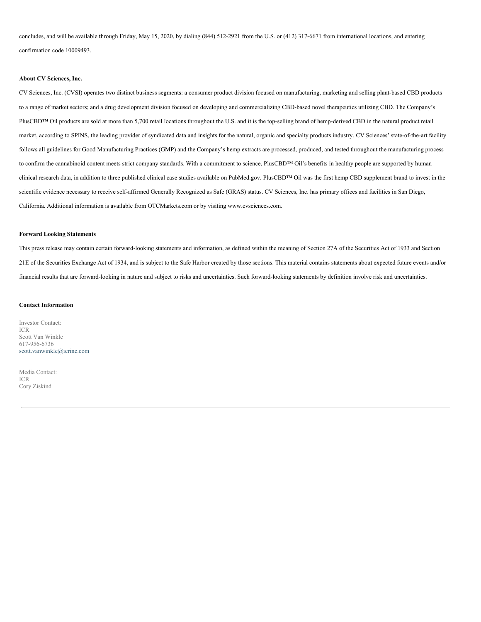concludes, and will be available through Friday, May 15, 2020, by dialing (844) 512-2921 from the U.S. or (412) 317-6671 from international locations, and entering confirmation code 10009493.

#### **About CV Sciences, Inc.**

CV Sciences, Inc. (CVSI) operates two distinct business segments: a consumer product division focused on manufacturing, marketing and selling plant-based CBD products to a range of market sectors; and a drug development division focused on developing and commercializing CBD-based novel therapeutics utilizing CBD. The Company's PlusCBD™ Oil products are sold at more than 5,700 retail locations throughout the U.S. and it is the top-selling brand of hemp-derived CBD in the natural product retail market, according to SPINS, the leading provider of syndicated data and insights for the natural, organic and specialty products industry. CV Sciences' state-of-the-art facility follows all guidelines for Good Manufacturing Practices (GMP) and the Company's hemp extracts are processed, produced, and tested throughout the manufacturing process to confirm the cannabinoid content meets strict company standards. With a commitment to science, PlusCBD™ Oil's benefits in healthy people are supported by human clinical research data, in addition to three published clinical case studies available on PubMed.gov. PlusCBD<sup>TM</sup> Oil was the first hemp CBD supplement brand to invest in the scientific evidence necessary to receive self-affirmed Generally Recognized as Safe (GRAS) status. CV Sciences, Inc. has primary offices and facilities in San Diego, California. Additional information is available from OTCMarkets.com or by visiting www.cvsciences.com.

#### **Forward Looking Statements**

This press release may contain certain forward-looking statements and information, as defined within the meaning of Section 27A of the Securities Act of 1933 and Section 21E of the Securities Exchange Act of 1934, and is subject to the Safe Harbor created by those sections. This material contains statements about expected future events and/or financial results that are forward-looking in nature and subject to risks and uncertainties. Such forward-looking statements by definition involve risk and uncertainties.

### **Contact Information**

Investor Contact: ICR Scott Van Winkle 617-956-6736 scott.vanwinkle@icrinc.com

Media Contact: ICR Cory Ziskind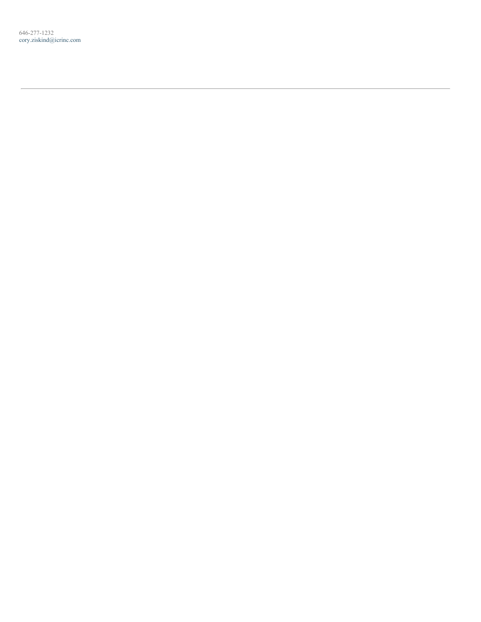646-277-1232 cory.ziskind@icrinc.com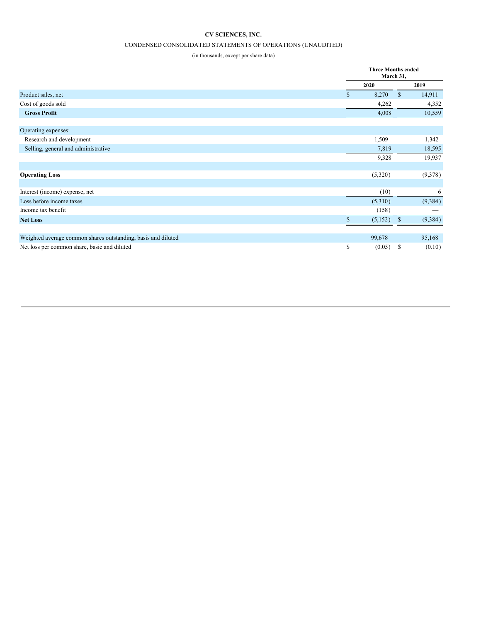# <span id="page-7-0"></span>CONDENSED CONSOLIDATED STATEMENTS OF OPERATIONS (UNAUDITED)

## (in thousands, except per share data)

|                                                               |                       | <b>Three Months ended</b><br>March 31, |         |  |
|---------------------------------------------------------------|-----------------------|----------------------------------------|---------|--|
|                                                               | 2020                  |                                        | 2019    |  |
| Product sales, net                                            | $\mathbb{S}$<br>8,270 | $\mathbb{S}$                           | 14,911  |  |
| Cost of goods sold                                            | 4,262                 |                                        | 4,352   |  |
| <b>Gross Profit</b>                                           | 4,008                 |                                        | 10,559  |  |
|                                                               |                       |                                        |         |  |
| Operating expenses:                                           |                       |                                        |         |  |
| Research and development                                      | 1,509                 |                                        | 1,342   |  |
| Selling, general and administrative                           | 7,819                 |                                        | 18,595  |  |
|                                                               | 9,328                 |                                        | 19,937  |  |
|                                                               |                       |                                        |         |  |
| <b>Operating Loss</b>                                         | (5,320)               |                                        | (9,378) |  |
|                                                               |                       |                                        |         |  |
| Interest (income) expense, net                                | (10)                  |                                        | 6       |  |
| Loss before income taxes                                      | (5,310)               |                                        | (9,384) |  |
| Income tax benefit                                            | (158)                 |                                        |         |  |
| <b>Net Loss</b>                                               | \$<br>(5,152)         | $\mathbb{S}$                           | (9,384) |  |
|                                                               |                       |                                        |         |  |
| Weighted average common shares outstanding, basis and diluted | 99,678                |                                        | 95,168  |  |
| Net loss per common share, basic and diluted                  | \$<br>(0.05)          | \$                                     | (0.10)  |  |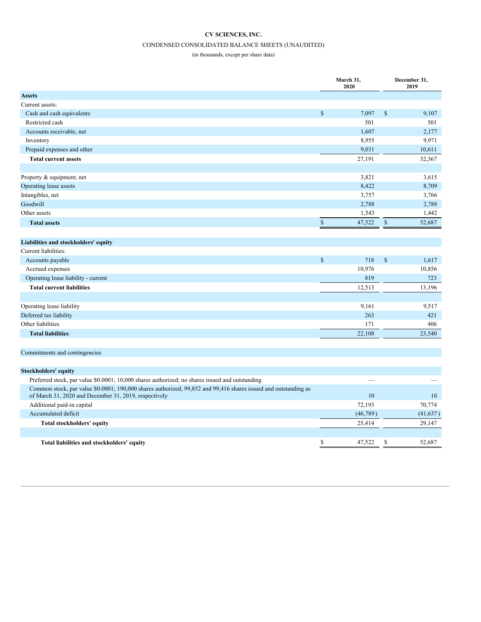# CONDENSED CONSOLIDATED BALANCE SHEETS (UNAUDITED)

(in thousands, except per share data)

|                                                                                                                                                                          |              | March 31,<br>2020 | December 31,<br>2019 |           |  |
|--------------------------------------------------------------------------------------------------------------------------------------------------------------------------|--------------|-------------------|----------------------|-----------|--|
| <b>Assets</b>                                                                                                                                                            |              |                   |                      |           |  |
| Current assets:                                                                                                                                                          |              |                   |                      |           |  |
| Cash and cash equivalents                                                                                                                                                | $\mathbb{S}$ | 7.097             | $\$$                 | 9,107     |  |
| Restricted cash                                                                                                                                                          |              | 501               |                      | 501       |  |
| Accounts receivable, net                                                                                                                                                 |              | 1,607             |                      | 2,177     |  |
| Inventory                                                                                                                                                                |              | 8,955             |                      | 9,971     |  |
| Prepaid expenses and other                                                                                                                                               |              | 9,031             |                      | 10,611    |  |
| <b>Total current assets</b>                                                                                                                                              |              | 27,191            |                      | 32,367    |  |
|                                                                                                                                                                          |              |                   |                      |           |  |
| Property & equipment, net                                                                                                                                                |              | 3,821             |                      | 3,615     |  |
| Operating lease assets                                                                                                                                                   |              | 8,422             |                      | 8,709     |  |
| Intangibles, net                                                                                                                                                         |              | 3,757             |                      | 3,766     |  |
| Goodwill                                                                                                                                                                 |              | 2,788             |                      | 2,788     |  |
| Other assets                                                                                                                                                             |              | 1,543             |                      | 1,442     |  |
| <b>Total assets</b>                                                                                                                                                      | $\mathbb{S}$ | 47,522            | $\mathbb{S}$         | 52,687    |  |
|                                                                                                                                                                          |              |                   |                      |           |  |
| Liabilities and stockholders' equity                                                                                                                                     |              |                   |                      |           |  |
| Current liabilities:                                                                                                                                                     |              |                   |                      |           |  |
| Accounts payable                                                                                                                                                         | $\mathbb{S}$ | 718               | $\mathsf{\$}$        | 1,617     |  |
| Accrued expenses                                                                                                                                                         |              | 10,976            |                      | 10,856    |  |
| Operating lease liability - current                                                                                                                                      |              | 819               |                      | 723       |  |
| <b>Total current liabilities</b>                                                                                                                                         |              | 12,513            |                      | 13,196    |  |
| Operating lease liability                                                                                                                                                |              | 9,161             |                      | 9,517     |  |
| Deferred tax liability                                                                                                                                                   |              | 263               |                      | 421       |  |
| Other liabilities                                                                                                                                                        |              | 171               |                      | 406       |  |
| <b>Total liabilities</b>                                                                                                                                                 |              | 22,108            |                      | 23,540    |  |
| Commitments and contingencies                                                                                                                                            |              |                   |                      |           |  |
| <b>Stockholders' equity</b>                                                                                                                                              |              |                   |                      |           |  |
| Preferred stock, par value \$0.0001; 10,000 shares authorized; no shares issued and outstanding                                                                          |              |                   |                      |           |  |
| Common stock, par value \$0.0001; 190,000 shares authorized, 99,852 and 99,416 shares issued and outstanding as<br>of March 31, 2020 and December 31, 2019, respectively |              | 10                |                      | 10        |  |
| Additional paid-in capital                                                                                                                                               |              | 72,193            |                      | 70,774    |  |
| Accumulated deficit                                                                                                                                                      |              | (46, 789)         |                      | (41, 637) |  |
| Total stockholders' equity                                                                                                                                               |              | 25,414            |                      | 29,147    |  |
|                                                                                                                                                                          |              |                   |                      |           |  |
| Total liabilities and stockholders' equity                                                                                                                               | \$           | 47,522            | \$                   | 52,687    |  |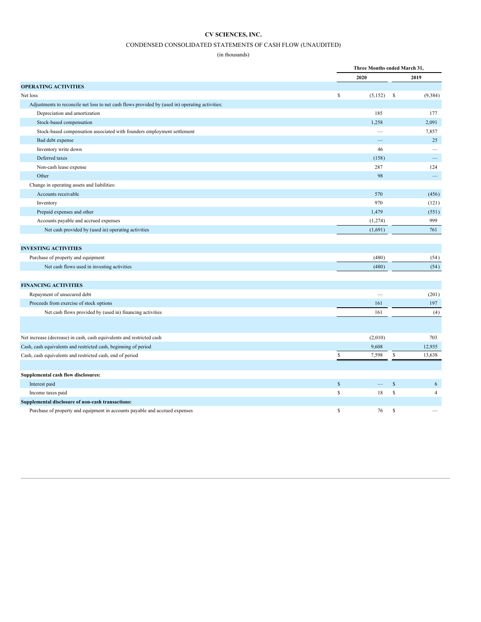# CONDENSED CONSOLIDATED STATEMENTS OF CASH FLOW (UNAUDITED)

(in thousands)

|                                                                                                 |               | Three Months ended March 31, |              |                 |
|-------------------------------------------------------------------------------------------------|---------------|------------------------------|--------------|-----------------|
|                                                                                                 |               | 2020                         |              | 2019            |
| <b>OPERATING ACTIVITIES</b>                                                                     |               |                              |              |                 |
| Net loss                                                                                        | \$            | (5,152)                      | \$           | (9, 384)        |
| Adjustments to reconcile net loss to net cash flows provided by (used in) operating activities: |               |                              |              |                 |
| Depreciation and amortization                                                                   |               | 185                          |              | 177             |
| Stock-based compensation                                                                        |               | 1,258                        |              | 2,091           |
| Stock-based compensation associated with founders employment settlement                         |               |                              |              | 7,857           |
| Bad debt expense                                                                                |               |                              |              | 25              |
| Inventory write down                                                                            |               | 46                           |              |                 |
| Deferred taxes                                                                                  |               | (158)                        |              | $\qquad \qquad$ |
| Non-cash lease expense                                                                          |               | 287                          |              | 124             |
| Other                                                                                           |               | 98                           |              |                 |
| Change in operating assets and liabilities:                                                     |               |                              |              |                 |
| Accounts receivable                                                                             |               | 570                          |              | (456)           |
| Inventory                                                                                       |               | 970                          |              | (121)           |
| Prepaid expenses and other                                                                      |               | 1,479                        |              | (551)           |
| Accounts payable and accrued expenses                                                           |               | (1,274)                      |              | 999             |
| Net cash provided by (used in) operating activities                                             |               | (1,691)                      |              | 761             |
|                                                                                                 |               |                              |              |                 |
| <b>INVESTING ACTIVITIES</b>                                                                     |               |                              |              |                 |
| Purchase of property and equipment                                                              |               | (480)                        |              | (54)            |
| Net cash flows used in investing activities                                                     |               | (480)                        |              | (54)            |
|                                                                                                 |               |                              |              |                 |
| <b>FINANCING ACTIVITIES</b>                                                                     |               |                              |              |                 |
| Repayment of unsecured debt                                                                     |               |                              |              | (201)           |
| Proceeds from exercise of stock options                                                         |               | 161                          |              | 197             |
| Net cash flows provided by (used in) financing activities                                       |               | 161                          |              | (4)             |
|                                                                                                 |               |                              |              |                 |
|                                                                                                 |               |                              |              |                 |
| Net increase (decrease) in cash, cash equivalents and restricted cash                           |               | (2,010)                      |              | 703             |
| Cash, cash equivalents and restricted cash, beginning of period                                 |               | 9,608                        |              | 12,935          |
| Cash, cash equivalents and restricted cash, end of period                                       | $\mathsf{\$}$ | 7,598                        | $\mathbb{S}$ | 13,638          |
|                                                                                                 |               |                              |              |                 |
| Supplemental cash flow disclosures:                                                             |               |                              |              |                 |
| Interest paid                                                                                   | $\mathsf{\$}$ |                              | $\mathbf S$  | 6               |
| Income taxes paid                                                                               | $\mathbb{S}$  | 18                           | $\mathbb{S}$ | $\overline{4}$  |
| Supplemental disclosure of non-cash transactions:                                               |               |                              |              |                 |
| Purchase of property and equipment in accounts payable and accrued expenses                     | \$            | 76                           | \$           |                 |
|                                                                                                 |               |                              |              |                 |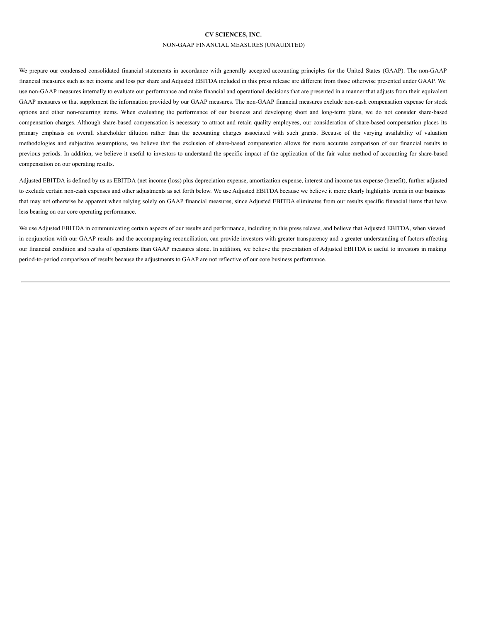#### NON-GAAP FINANCIAL MEASURES (UNAUDITED)

We prepare our condensed consolidated financial statements in accordance with generally accepted accounting principles for the United States (GAAP). The non-GAAP financial measures such as net income and loss per share and Adjusted EBITDA included in this press release are different from those otherwise presented under GAAP. We use non-GAAP measures internally to evaluate our performance and make financial and operational decisions that are presented in a manner that adjusts from their equivalent GAAP measures or that supplement the information provided by our GAAP measures. The non-GAAP financial measures exclude non-cash compensation expense for stock options and other non-recurring items. When evaluating the performance of our business and developing short and long-term plans, we do not consider share-based compensation charges. Although share-based compensation is necessary to attract and retain quality employees, our consideration of share-based compensation places its primary emphasis on overall shareholder dilution rather than the accounting charges associated with such grants. Because of the varying availability of valuation methodologies and subjective assumptions, we believe that the exclusion of share-based compensation allows for more accurate comparison of our financial results to previous periods. In addition, we believe it useful to investors to understand the specific impact of the application of the fair value method of accounting for share-based compensation on our operating results.

Adjusted EBITDA is defined by us as EBITDA (net income (loss) plus depreciation expense, amortization expense, interest and income tax expense (benefit), further adjusted to exclude certain non-cash expenses and other adjustments as set forth below. We use Adjusted EBITDA because we believe it more clearly highlights trends in our business that may not otherwise be apparent when relying solely on GAAP financial measures, since Adjusted EBITDA eliminates from our results specific financial items that have less bearing on our core operating performance.

We use Adjusted EBITDA in communicating certain aspects of our results and performance, including in this press release, and believe that Adjusted EBITDA, when viewed in conjunction with our GAAP results and the accompanying reconciliation, can provide investors with greater transparency and a greater understanding of factors affecting our financial condition and results of operations than GAAP measures alone. In addition, we believe the presentation of Adjusted EBITDA is useful to investors in making period-to-period comparison of results because the adjustments to GAAP are not reflective of our core business performance.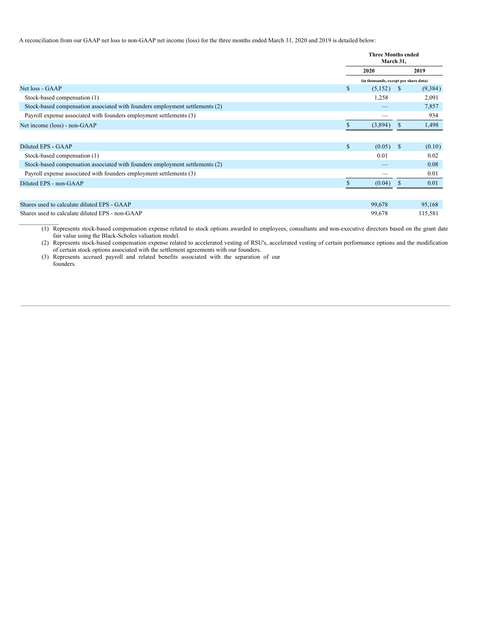A reconciliation from our GAAP net loss to non-GAAP net income (loss) for the three months ended March 31, 2020 and 2019 is detailed below:

|                                                                              | <b>Three Months ended</b><br>March 31, |                                       |          |
|------------------------------------------------------------------------------|----------------------------------------|---------------------------------------|----------|
|                                                                              | 2020                                   |                                       | 2019     |
|                                                                              |                                        | (in thousands, except per share data) |          |
| Net loss - GAAP                                                              | \$<br>(5,152)                          | -S                                    | (9, 384) |
| Stock-based compensation (1)                                                 | 1,258                                  |                                       | 2,091    |
| Stock-based compensation associated with founders employment settlements (2) |                                        |                                       | 7,857    |
| Payroll expense associated with founders employment settlements (3)          |                                        |                                       | 934      |
| Net income (loss) - non-GAAP                                                 | (3,894)                                | S                                     | 1,498    |
|                                                                              |                                        |                                       |          |
| Diluted EPS - GAAP                                                           | \$<br>$(0.05)$ \$                      |                                       | (0.10)   |
| Stock-based compensation (1)                                                 | 0.01                                   |                                       | 0.02     |
| Stock-based compensation associated with founders employment settlements (2) |                                        |                                       | 0.08     |
| Payroll expense associated with founders employment settlements (3)          |                                        |                                       | 0.01     |
| Diluted EPS - non-GAAP                                                       | (0.04)                                 | <sup>S</sup>                          | 0.01     |
|                                                                              |                                        |                                       |          |
| Shares used to calculate diluted EPS - GAAP                                  | 99,678                                 |                                       | 95,168   |
| Shares used to calculate diluted EPS - non-GAAP                              | 99,678                                 |                                       | 115,581  |

(1) Represents stock-based compensation expense related to stock options awarded to employees, consultants and non-executive directors based on the grant date fair value using the Black-Scholes valuation model.

(2) Represents stock-based compensation expense related to accelerated vesting of RSU's, accelerated vesting of certain performance options and the modification of certain stock options associated with the settlement agreements with our founders.

(3) Represents accrued payroll and related benefits associated with the separation of our founders.

 $\mathcal{L}_\text{max}$  and  $\mathcal{L}_\text{max}$